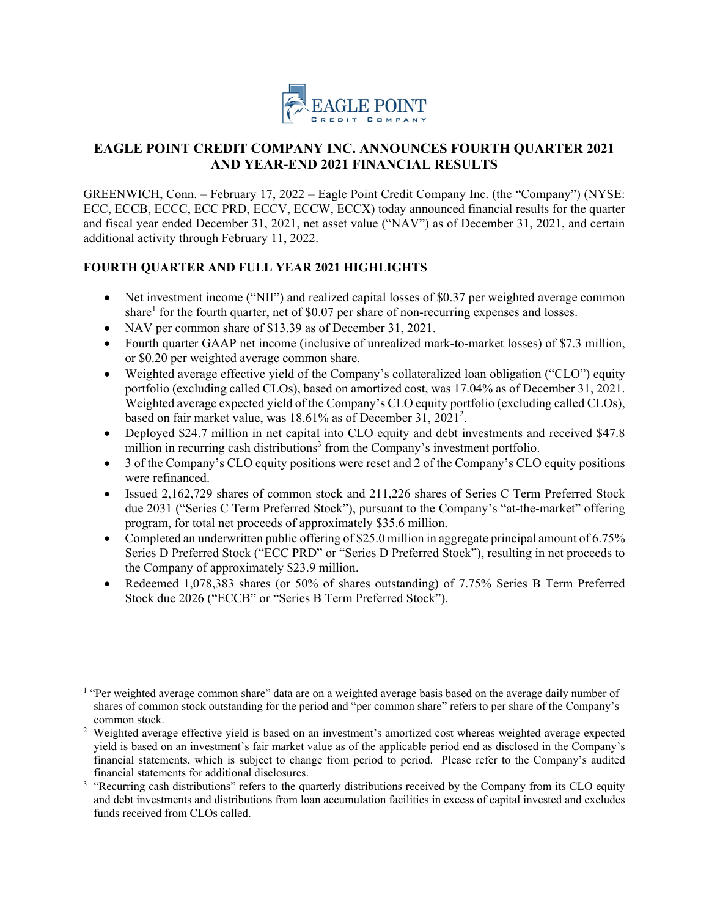

# **EAGLE POINT CREDIT COMPANY INC. ANNOUNCES FOURTH QUARTER 2021 AND YEAR-END 2021 FINANCIAL RESULTS**

GREENWICH, Conn. – February 17, 2022 – Eagle Point Credit Company Inc. (the "Company") (NYSE: ECC, ECCB, ECCC, ECC PRD, ECCV, ECCW, ECCX) today announced financial results for the quarter and fiscal year ended December 31, 2021, net asset value ("NAV") as of December 31, 2021, and certain additional activity through February 11, 2022.

## **FOURTH QUARTER AND FULL YEAR 2021 HIGHLIGHTS**

- Net investment income ("NII") and realized capital losses of \$0.37 per weighted average common share<sup>1</sup> for the fourth quarter, net of \$0.07 per share of non-recurring expenses and losses.
- NAV per common share of \$13.39 as of December 31, 2021.
- Fourth quarter GAAP net income (inclusive of unrealized mark-to-market losses) of \$7.3 million, or \$0.20 per weighted average common share.
- Weighted average effective yield of the Company's collateralized loan obligation ("CLO") equity portfolio (excluding called CLOs), based on amortized cost, was 17.04% as of December 31, 2021. Weighted average expected yield of the Company's CLO equity portfolio (excluding called CLOs), based on fair market value, was 18.61% as of December 31, 2021<sup>2</sup>.
- Deployed \$24.7 million in net capital into CLO equity and debt investments and received \$47.8 million in recurring cash distributions<sup>3</sup> from the Company's investment portfolio.
- 3 of the Company's CLO equity positions were reset and 2 of the Company's CLO equity positions were refinanced.
- Issued 2,162,729 shares of common stock and 211,226 shares of Series C Term Preferred Stock due 2031 ("Series C Term Preferred Stock"), pursuant to the Company's "at-the-market" offering program, for total net proceeds of approximately \$35.6 million.
- Completed an underwritten public offering of \$25.0 million in aggregate principal amount of 6.75% Series D Preferred Stock ("ECC PRD" or "Series D Preferred Stock"), resulting in net proceeds to the Company of approximately \$23.9 million.
- Redeemed 1,078,383 shares (or 50% of shares outstanding) of 7.75% Series B Term Preferred Stock due 2026 ("ECCB" or "Series B Term Preferred Stock").

 <sup>1</sup> "Per weighted average common share" data are on a weighted average basis based on the average daily number of shares of common stock outstanding for the period and "per common share" refers to per share of the Company's

common stock. 2 Weighted average effective yield is based on an investment's amortized cost whereas weighted average expected yield is based on an investment's fair market value as of the applicable period end as disclosed in the Company's financial statements, which is subject to change from period to period. Please refer to the Company's audited financial statements for additional disclosures.<br><sup>3</sup> "Recurring cash distributions" refers to the quarterly distributions received by the Company from its CLO equity

and debt investments and distributions from loan accumulation facilities in excess of capital invested and excludes funds received from CLOs called.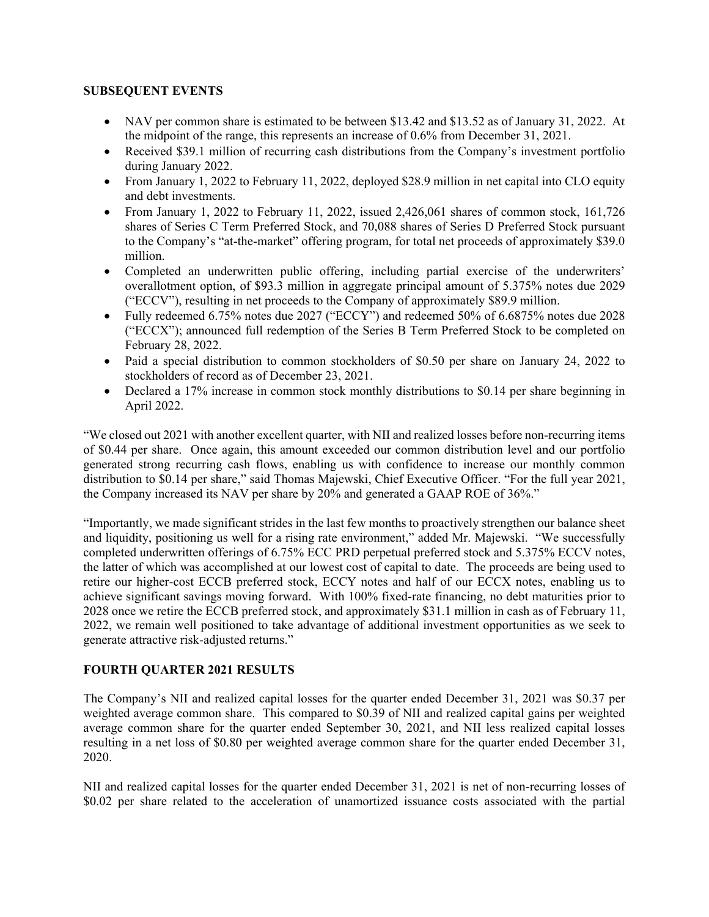#### **SUBSEQUENT EVENTS**

- NAV per common share is estimated to be between \$13.42 and \$13.52 as of January 31, 2022. At the midpoint of the range, this represents an increase of 0.6% from December 31, 2021.
- Received \$39.1 million of recurring cash distributions from the Company's investment portfolio during January 2022.
- From January 1, 2022 to February 11, 2022, deployed \$28.9 million in net capital into CLO equity and debt investments.
- From January 1, 2022 to February 11, 2022, issued 2,426,061 shares of common stock, 161,726 shares of Series C Term Preferred Stock, and 70,088 shares of Series D Preferred Stock pursuant to the Company's "at-the-market" offering program, for total net proceeds of approximately \$39.0 million.
- Completed an underwritten public offering, including partial exercise of the underwriters' overallotment option, of \$93.3 million in aggregate principal amount of 5.375% notes due 2029 ("ECCV"), resulting in net proceeds to the Company of approximately \$89.9 million.
- Fully redeemed 6.75% notes due 2027 ("ECCY") and redeemed 50% of 6.6875% notes due 2028 ("ECCX"); announced full redemption of the Series B Term Preferred Stock to be completed on February 28, 2022.
- Paid a special distribution to common stockholders of \$0.50 per share on January 24, 2022 to stockholders of record as of December 23, 2021.
- Declared a 17% increase in common stock monthly distributions to \$0.14 per share beginning in April 2022.

"We closed out 2021 with another excellent quarter, with NII and realized losses before non-recurring items of \$0.44 per share. Once again, this amount exceeded our common distribution level and our portfolio generated strong recurring cash flows, enabling us with confidence to increase our monthly common distribution to \$0.14 per share," said Thomas Majewski, Chief Executive Officer. "For the full year 2021, the Company increased its NAV per share by 20% and generated a GAAP ROE of 36%."

"Importantly, we made significant strides in the last few months to proactively strengthen our balance sheet and liquidity, positioning us well for a rising rate environment," added Mr. Majewski. "We successfully completed underwritten offerings of 6.75% ECC PRD perpetual preferred stock and 5.375% ECCV notes, the latter of which was accomplished at our lowest cost of capital to date. The proceeds are being used to retire our higher-cost ECCB preferred stock, ECCY notes and half of our ECCX notes, enabling us to achieve significant savings moving forward. With 100% fixed-rate financing, no debt maturities prior to 2028 once we retire the ECCB preferred stock, and approximately \$31.1 million in cash as of February 11, 2022, we remain well positioned to take advantage of additional investment opportunities as we seek to generate attractive risk-adjusted returns."

#### **FOURTH QUARTER 2021 RESULTS**

The Company's NII and realized capital losses for the quarter ended December 31, 2021 was \$0.37 per weighted average common share. This compared to \$0.39 of NII and realized capital gains per weighted average common share for the quarter ended September 30, 2021, and NII less realized capital losses resulting in a net loss of \$0.80 per weighted average common share for the quarter ended December 31, 2020.

NII and realized capital losses for the quarter ended December 31, 2021 is net of non-recurring losses of \$0.02 per share related to the acceleration of unamortized issuance costs associated with the partial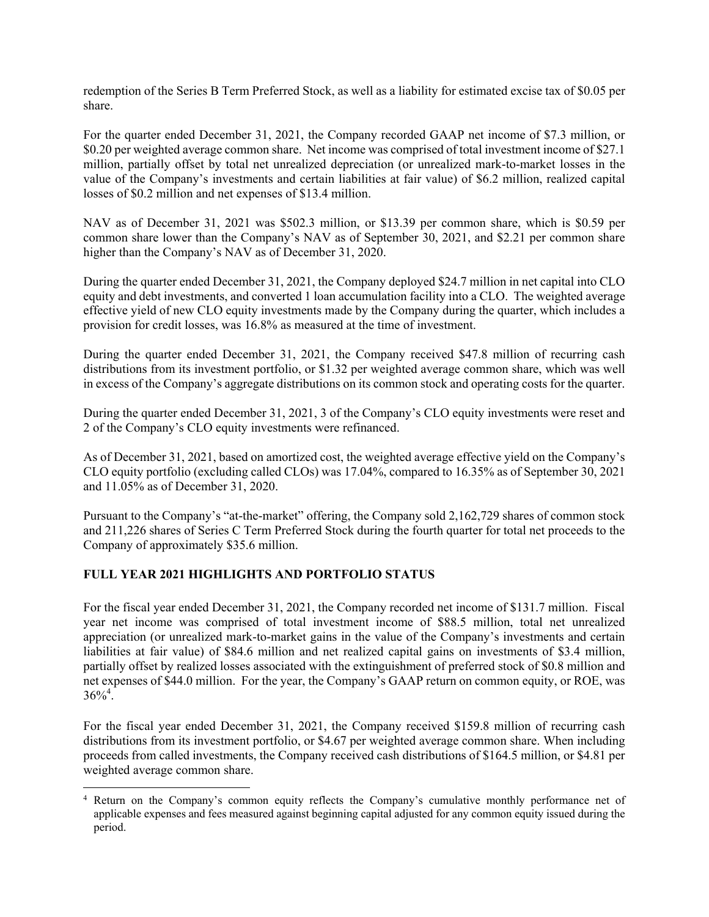redemption of the Series B Term Preferred Stock, as well as a liability for estimated excise tax of \$0.05 per share.

For the quarter ended December 31, 2021, the Company recorded GAAP net income of \$7.3 million, or \$0.20 per weighted average common share. Net income was comprised of total investment income of \$27.1 million, partially offset by total net unrealized depreciation (or unrealized mark-to-market losses in the value of the Company's investments and certain liabilities at fair value) of \$6.2 million, realized capital losses of \$0.2 million and net expenses of \$13.4 million.

NAV as of December 31, 2021 was \$502.3 million, or \$13.39 per common share, which is \$0.59 per common share lower than the Company's NAV as of September 30, 2021, and \$2.21 per common share higher than the Company's NAV as of December 31, 2020.

During the quarter ended December 31, 2021, the Company deployed \$24.7 million in net capital into CLO equity and debt investments, and converted 1 loan accumulation facility into a CLO. The weighted average effective yield of new CLO equity investments made by the Company during the quarter, which includes a provision for credit losses, was 16.8% as measured at the time of investment.

During the quarter ended December 31, 2021, the Company received \$47.8 million of recurring cash distributions from its investment portfolio, or \$1.32 per weighted average common share, which was well in excess of the Company's aggregate distributions on its common stock and operating costs for the quarter.

During the quarter ended December 31, 2021, 3 of the Company's CLO equity investments were reset and 2 of the Company's CLO equity investments were refinanced.

As of December 31, 2021, based on amortized cost, the weighted average effective yield on the Company's CLO equity portfolio (excluding called CLOs) was 17.04%, compared to 16.35% as of September 30, 2021 and 11.05% as of December 31, 2020.

Pursuant to the Company's "at-the-market" offering, the Company sold 2,162,729 shares of common stock and 211,226 shares of Series C Term Preferred Stock during the fourth quarter for total net proceeds to the Company of approximately \$35.6 million.

## **FULL YEAR 2021 HIGHLIGHTS AND PORTFOLIO STATUS**

For the fiscal year ended December 31, 2021, the Company recorded net income of \$131.7 million. Fiscal year net income was comprised of total investment income of \$88.5 million, total net unrealized appreciation (or unrealized mark-to-market gains in the value of the Company's investments and certain liabilities at fair value) of \$84.6 million and net realized capital gains on investments of \$3.4 million, partially offset by realized losses associated with the extinguishment of preferred stock of \$0.8 million and net expenses of \$44.0 million. For the year, the Company's GAAP return on common equity, or ROE, was  $36\%^{4}$ .

For the fiscal year ended December 31, 2021, the Company received \$159.8 million of recurring cash distributions from its investment portfolio, or \$4.67 per weighted average common share. When including proceeds from called investments, the Company received cash distributions of \$164.5 million, or \$4.81 per weighted average common share.

<sup>4</sup> Return on the Company's common equity reflects the Company's cumulative monthly performance net of applicable expenses and fees measured against beginning capital adjusted for any common equity issued during the period.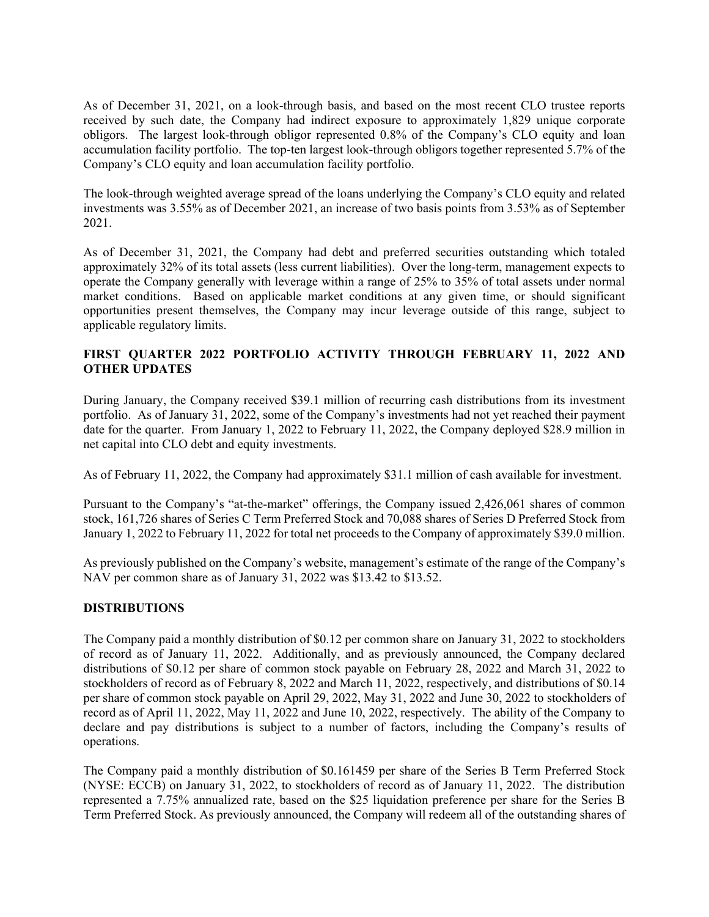As of December 31, 2021, on a look-through basis, and based on the most recent CLO trustee reports received by such date, the Company had indirect exposure to approximately 1,829 unique corporate obligors. The largest look-through obligor represented 0.8% of the Company's CLO equity and loan accumulation facility portfolio. The top-ten largest look-through obligors together represented 5.7% of the Company's CLO equity and loan accumulation facility portfolio.

The look-through weighted average spread of the loans underlying the Company's CLO equity and related investments was 3.55% as of December 2021, an increase of two basis points from 3.53% as of September 2021.

As of December 31, 2021, the Company had debt and preferred securities outstanding which totaled approximately 32% of its total assets (less current liabilities). Over the long-term, management expects to operate the Company generally with leverage within a range of 25% to 35% of total assets under normal market conditions. Based on applicable market conditions at any given time, or should significant opportunities present themselves, the Company may incur leverage outside of this range, subject to applicable regulatory limits.

### **FIRST QUARTER 2022 PORTFOLIO ACTIVITY THROUGH FEBRUARY 11, 2022 AND OTHER UPDATES**

During January, the Company received \$39.1 million of recurring cash distributions from its investment portfolio. As of January 31, 2022, some of the Company's investments had not yet reached their payment date for the quarter. From January 1, 2022 to February 11, 2022, the Company deployed \$28.9 million in net capital into CLO debt and equity investments.

As of February 11, 2022, the Company had approximately \$31.1 million of cash available for investment.

Pursuant to the Company's "at-the-market" offerings, the Company issued 2,426,061 shares of common stock, 161,726 shares of Series C Term Preferred Stock and 70,088 shares of Series D Preferred Stock from January 1, 2022 to February 11, 2022 for total net proceeds to the Company of approximately \$39.0 million.

As previously published on the Company's website, management's estimate of the range of the Company's NAV per common share as of January 31, 2022 was \$13.42 to \$13.52.

## **DISTRIBUTIONS**

The Company paid a monthly distribution of \$0.12 per common share on January 31, 2022 to stockholders of record as of January 11, 2022. Additionally, and as previously announced, the Company declared distributions of \$0.12 per share of common stock payable on February 28, 2022 and March 31, 2022 to stockholders of record as of February 8, 2022 and March 11, 2022, respectively, and distributions of \$0.14 per share of common stock payable on April 29, 2022, May 31, 2022 and June 30, 2022 to stockholders of record as of April 11, 2022, May 11, 2022 and June 10, 2022, respectively. The ability of the Company to declare and pay distributions is subject to a number of factors, including the Company's results of operations.

The Company paid a monthly distribution of \$0.161459 per share of the Series B Term Preferred Stock (NYSE: ECCB) on January 31, 2022, to stockholders of record as of January 11, 2022. The distribution represented a 7.75% annualized rate, based on the \$25 liquidation preference per share for the Series B Term Preferred Stock. As previously announced, the Company will redeem all of the outstanding shares of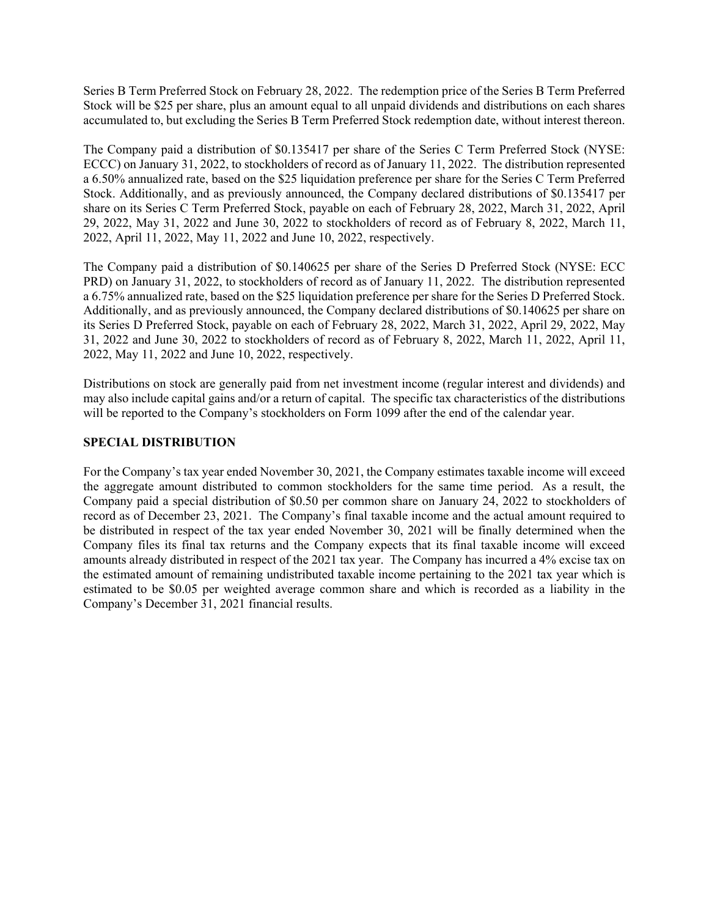Series B Term Preferred Stock on February 28, 2022. The redemption price of the Series B Term Preferred Stock will be \$25 per share, plus an amount equal to all unpaid dividends and distributions on each shares accumulated to, but excluding the Series B Term Preferred Stock redemption date, without interest thereon.

The Company paid a distribution of \$0.135417 per share of the Series C Term Preferred Stock (NYSE: ECCC) on January 31, 2022, to stockholders of record as of January 11, 2022. The distribution represented a 6.50% annualized rate, based on the \$25 liquidation preference per share for the Series C Term Preferred Stock. Additionally, and as previously announced, the Company declared distributions of \$0.135417 per share on its Series C Term Preferred Stock, payable on each of February 28, 2022, March 31, 2022, April 29, 2022, May 31, 2022 and June 30, 2022 to stockholders of record as of February 8, 2022, March 11, 2022, April 11, 2022, May 11, 2022 and June 10, 2022, respectively.

The Company paid a distribution of \$0.140625 per share of the Series D Preferred Stock (NYSE: ECC PRD) on January 31, 2022, to stockholders of record as of January 11, 2022. The distribution represented a 6.75% annualized rate, based on the \$25 liquidation preference per share for the Series D Preferred Stock. Additionally, and as previously announced, the Company declared distributions of \$0.140625 per share on its Series D Preferred Stock, payable on each of February 28, 2022, March 31, 2022, April 29, 2022, May 31, 2022 and June 30, 2022 to stockholders of record as of February 8, 2022, March 11, 2022, April 11, 2022, May 11, 2022 and June 10, 2022, respectively.

Distributions on stock are generally paid from net investment income (regular interest and dividends) and may also include capital gains and/or a return of capital. The specific tax characteristics of the distributions will be reported to the Company's stockholders on Form 1099 after the end of the calendar year.

#### **SPECIAL DISTRIBUTION**

For the Company's tax year ended November 30, 2021, the Company estimates taxable income will exceed the aggregate amount distributed to common stockholders for the same time period. As a result, the Company paid a special distribution of \$0.50 per common share on January 24, 2022 to stockholders of record as of December 23, 2021. The Company's final taxable income and the actual amount required to be distributed in respect of the tax year ended November 30, 2021 will be finally determined when the Company files its final tax returns and the Company expects that its final taxable income will exceed amounts already distributed in respect of the 2021 tax year. The Company has incurred a 4% excise tax on the estimated amount of remaining undistributed taxable income pertaining to the 2021 tax year which is estimated to be \$0.05 per weighted average common share and which is recorded as a liability in the Company's December 31, 2021 financial results.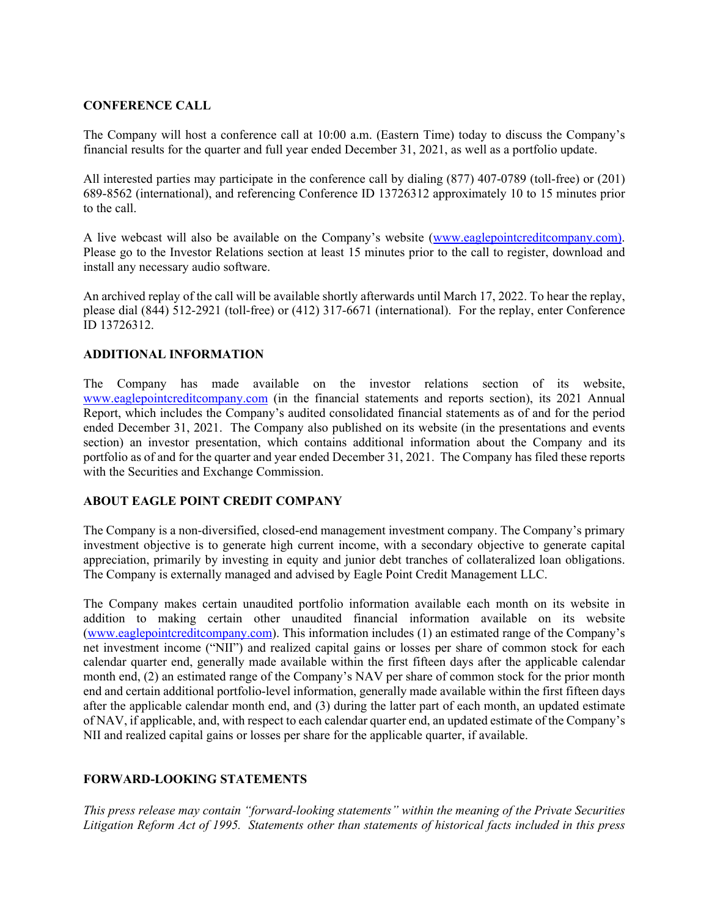### **CONFERENCE CALL**

The Company will host a conference call at 10:00 a.m. (Eastern Time) today to discuss the Company's financial results for the quarter and full year ended December 31, 2021, as well as a portfolio update.

All interested parties may participate in the conference call by dialing (877) 407-0789 (toll-free) or (201) 689-8562 (international), and referencing Conference ID 13726312 approximately 10 to 15 minutes prior to the call.

A live webcast will also be available on the Company's website (www.eaglepointcreditcompany.com). Please go to the Investor Relations section at least 15 minutes prior to the call to register, download and install any necessary audio software.

An archived replay of the call will be available shortly afterwards until March 17, 2022. To hear the replay, please dial (844) 512-2921 (toll-free) or (412) 317-6671 (international). For the replay, enter Conference ID 13726312.

### **ADDITIONAL INFORMATION**

The Company has made available on the investor relations section of its website, www.eaglepointcreditcompany.com (in the financial statements and reports section), its 2021 Annual Report, which includes the Company's audited consolidated financial statements as of and for the period ended December 31, 2021. The Company also published on its website (in the presentations and events section) an investor presentation, which contains additional information about the Company and its portfolio as of and for the quarter and year ended December 31, 2021. The Company has filed these reports with the Securities and Exchange Commission.

#### **ABOUT EAGLE POINT CREDIT COMPANY**

The Company is a non-diversified, closed-end management investment company. The Company's primary investment objective is to generate high current income, with a secondary objective to generate capital appreciation, primarily by investing in equity and junior debt tranches of collateralized loan obligations. The Company is externally managed and advised by Eagle Point Credit Management LLC.

The Company makes certain unaudited portfolio information available each month on its website in addition to making certain other unaudited financial information available on its website (www.eaglepointcreditcompany.com). This information includes (1) an estimated range of the Company's net investment income ("NII") and realized capital gains or losses per share of common stock for each calendar quarter end, generally made available within the first fifteen days after the applicable calendar month end, (2) an estimated range of the Company's NAV per share of common stock for the prior month end and certain additional portfolio-level information, generally made available within the first fifteen days after the applicable calendar month end, and (3) during the latter part of each month, an updated estimate of NAV, if applicable, and, with respect to each calendar quarter end, an updated estimate of the Company's NII and realized capital gains or losses per share for the applicable quarter, if available.

## **FORWARD-LOOKING STATEMENTS**

*This press release may contain "forward-looking statements" within the meaning of the Private Securities Litigation Reform Act of 1995. Statements other than statements of historical facts included in this press*